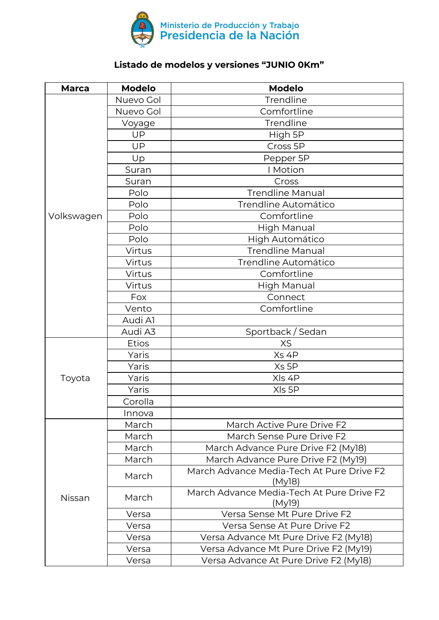

## **Listado de modelos y versiones "JUNIO 0Km"**

| <b>Marca</b> | <b>Modelo</b> | <b>Modelo</b>                                       |
|--------------|---------------|-----------------------------------------------------|
|              | Nuevo Gol     | Trendline                                           |
|              | Nuevo Gol     | Comfortline                                         |
|              | Voyage        | Trendline                                           |
|              | UP            | High 5P                                             |
|              | UP            | Cross 5P                                            |
|              | Up            | Pepper 5P                                           |
|              | Suran         | I Motion                                            |
|              | Suran         | Cross                                               |
|              | Polo          | <b>Trendline Manual</b>                             |
|              | Polo          | Trendline Automático                                |
| Volkswagen   | Polo          | Comfortline                                         |
|              | Polo          | <b>High Manual</b>                                  |
|              | Polo          | High Automático                                     |
|              | Virtus        | <b>Trendline Manual</b>                             |
|              | Virtus        | Trendline Automático                                |
|              | Virtus        | Comfortline                                         |
|              | Virtus        | High Manual                                         |
|              | Fox           | Connect                                             |
|              | Vento         | Comfortline                                         |
|              | Audi Al       |                                                     |
|              | Audi A3       | Sportback / Sedan                                   |
|              | <b>Etios</b>  | <b>XS</b>                                           |
|              | Yaris         | Xs 4P                                               |
|              | Yaris         | Xs 5P                                               |
| Toyota       | Yaris         | XIs 4P                                              |
|              | Yaris         | XIs 5P                                              |
|              | Corolla       |                                                     |
|              | Innova        |                                                     |
|              | March         | March Active Pure Drive F2                          |
|              | March         | March Sense Pure Drive F2                           |
|              | March         | March Advance Pure Drive F2 (My18)                  |
|              | March         | March Advance Pure Drive F2 (My19)                  |
| Nissan       | March         | March Advance Media-Tech At Pure Drive F2<br>(My18) |
|              | March         | March Advance Media-Tech At Pure Drive F2<br>(My19) |
|              | Versa         | Versa Sense Mt Pure Drive F2                        |
|              | Versa         | Versa Sense At Pure Drive F2                        |
|              | Versa         | Versa Advance Mt Pure Drive F2 (My18)               |
|              | Versa         | Versa Advance Mt Pure Drive F2 (My19)               |
|              | Versa         | Versa Advance At Pure Drive F2 (My18)               |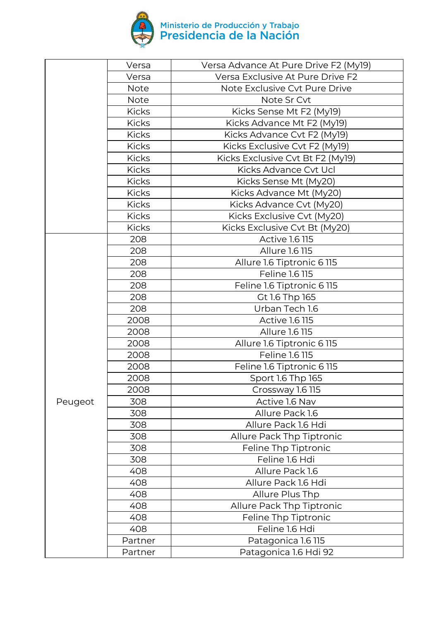

|         | Versa        | Versa Advance At Pure Drive F2 (My19) |
|---------|--------------|---------------------------------------|
|         | Versa        | Versa Exclusive At Pure Drive F2      |
|         | <b>Note</b>  | Note Exclusive Cvt Pure Drive         |
|         | <b>Note</b>  | Note Sr Cvt                           |
|         | <b>Kicks</b> | Kicks Sense Mt F2 (My19)              |
|         | <b>Kicks</b> | Kicks Advance Mt F2 (My19)            |
|         | <b>Kicks</b> | Kicks Advance Cvt F2 (My19)           |
|         | <b>Kicks</b> | Kicks Exclusive Cvt F2 (My19)         |
|         | <b>Kicks</b> | Kicks Exclusive Cvt Bt F2 (My19)      |
|         | <b>Kicks</b> | Kicks Advance Cvt Ucl                 |
|         | <b>Kicks</b> | Kicks Sense Mt (My20)                 |
|         | <b>Kicks</b> | Kicks Advance Mt (My20)               |
|         | <b>Kicks</b> | Kicks Advance Cvt (My20)              |
|         | <b>Kicks</b> | Kicks Exclusive Cvt (My20)            |
|         | <b>Kicks</b> | Kicks Exclusive Cvt Bt (My20)         |
|         | 208          | <b>Active 1.6 115</b>                 |
|         | 208          | Allure 1.6 115                        |
|         | 208          | Allure 1.6 Tiptronic 6 115            |
|         | 208          | Feline 1.6 115                        |
|         | 208          | Feline 1.6 Tiptronic 6 115            |
|         | 208          | Gt 1.6 Thp 165                        |
|         | 208          | Urban Tech 1.6                        |
|         | 2008         | <b>Active 1.6 115</b>                 |
|         | 2008         | Allure 1.6 115                        |
|         | 2008         | Allure 1.6 Tiptronic 6 115            |
|         | 2008         | Feline 1.6 115                        |
|         | 2008         | Feline 1.6 Tiptronic 6 115            |
|         | 2008         | Sport 1.6 Thp 165                     |
|         | 2008         | Crossway 1.6 115                      |
| Peugeot | 308          | Active 1.6 Nav                        |
|         | 308          | Allure Pack 1.6                       |
|         | 308          | Allure Pack 1.6 Hdi                   |
|         | 308          | Allure Pack Thp Tiptronic             |
|         | 308          | Feline Thp Tiptronic                  |
|         | 308          | Feline 1.6 Hdi                        |
|         | 408          | Allure Pack 1.6                       |
|         | 408          | Allure Pack 1.6 Hdi                   |
|         | 408          | Allure Plus Thp                       |
|         | 408          | Allure Pack Thp Tiptronic             |
|         | 408          | Feline Thp Tiptronic                  |
|         | 408          | Feline 1.6 Hdi                        |
|         | Partner      | Patagonica 1.6 115                    |
|         | Partner      | Patagonica 1.6 Hdi 92                 |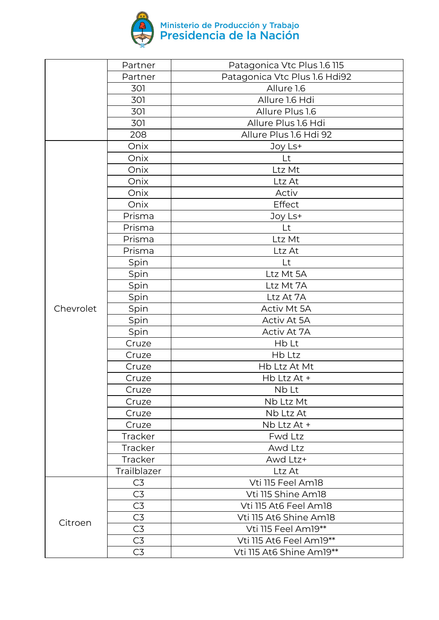

|           | Partner        | Patagonica Vtc Plus 1.6 115   |
|-----------|----------------|-------------------------------|
|           | Partner        | Patagonica Vtc Plus 1.6 Hdi92 |
|           | 301            | Allure 1.6                    |
|           | 301            | Allure 1.6 Hdi                |
|           | 301            | Allure Plus 1.6               |
|           | 301            | Allure Plus 1.6 Hdi           |
|           | 208            | Allure Plus 1.6 Hdi 92        |
|           | Onix           | Joy Ls+                       |
|           | Onix           | Lt                            |
|           | Onix           | Ltz Mt                        |
|           | Onix           | Ltz At                        |
|           | Onix           | Activ                         |
|           | Onix           | Effect                        |
|           | Prisma         | Joy Ls+                       |
|           | Prisma         | Lt                            |
|           | Prisma         | Ltz Mt                        |
|           | Prisma         | Ltz At                        |
|           | Spin           | Lt                            |
|           | Spin           | Ltz Mt 5A                     |
|           | Spin           | Ltz Mt 7A                     |
|           | Spin           | Ltz At 7A                     |
| Chevrolet | Spin           | Activ Mt 5A                   |
|           | Spin           | Activ At 5A                   |
|           | Spin           | Activ At 7A                   |
|           | Cruze          | Hb Lt                         |
|           | Cruze          | Hb Ltz                        |
|           | Cruze          | Hb Ltz At Mt                  |
|           | Cruze          | Hb Ltz At +                   |
|           | Cruze          | Nb Lt                         |
|           | Cruze          | Nb Ltz Mt                     |
|           | Cruze          | Nb Ltz At                     |
|           | Cruze          | Nb Ltz At +                   |
|           | <b>Tracker</b> | Fwd Ltz                       |
|           | <b>Tracker</b> | Awd Ltz                       |
|           | Tracker        | Awd Ltz+                      |
|           | Trailblazer    | Ltz At                        |
|           | C <sub>3</sub> | Vti 115 Feel Am18             |
| Citroen   | C3             | Vti 115 Shine Am18            |
|           | C <sub>3</sub> | Vti 115 At6 Feel Am18         |
|           | C <sub>3</sub> | Vti 115 At6 Shine Am18        |
|           | C3             | Vti 115 Feel Am19**           |
|           | C3             | Vti 115 At6 Feel Am19**       |
|           | C3             | Vti 115 At6 Shine Am19**      |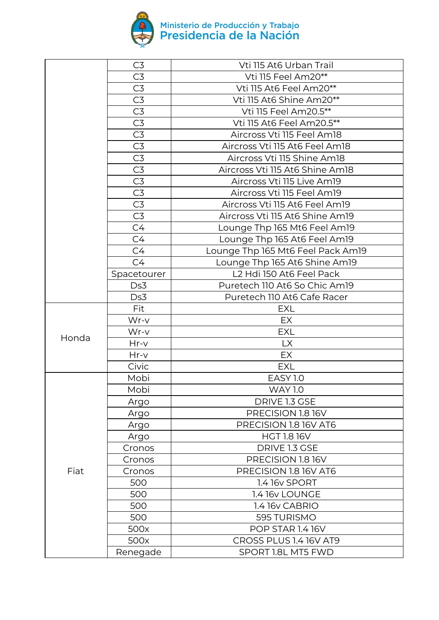

|       | C <sub>3</sub> | Vti 115 At6 Urban Trail           |
|-------|----------------|-----------------------------------|
|       | C <sub>3</sub> | Vti 115 Feel Am20**               |
|       | C3             | Vti 115 At6 Feel Am20**           |
|       | C <sub>3</sub> | Vti 115 At6 Shine Am20**          |
|       | C <sub>3</sub> | Vti 115 Feel Am20.5**             |
|       | C <sub>3</sub> | Vti 115 At6 Feel Am20.5**         |
|       | C3             | Aircross Vti 115 Feel Am18        |
|       | C3             | Aircross Vti 115 At6 Feel Am18    |
|       | C <sub>3</sub> | Aircross Vti 115 Shine Am18       |
|       | C3             | Aircross Vti 115 At6 Shine Am18   |
|       | C3             | Aircross Vti 115 Live Am19        |
|       | C3             | Aircross Vti 115 Feel Am19        |
|       | C3             | Aircross Vti 115 At6 Feel Am19    |
|       | C <sub>3</sub> | Aircross Vti 115 At6 Shine Am19   |
|       | C4             | Lounge Thp 165 Mt6 Feel Am19      |
|       | C4             | Lounge Thp 165 At6 Feel Am19      |
|       | C4             | Lounge Thp 165 Mt6 Feel Pack Am19 |
|       | C4             | Lounge Thp 165 At6 Shine Am19     |
|       | Spacetourer    | L2 Hdi 150 At6 Feel Pack          |
|       | Ds3            | Puretech 110 At6 So Chic Am19     |
|       | Ds3            | Puretech 110 At6 Cafe Racer       |
|       | Fit            | <b>EXL</b>                        |
|       | Wr-v           | EX                                |
| Honda | Wr-v           | <b>EXL</b>                        |
|       | Hr-v           | <b>LX</b>                         |
|       | $Hr-V$         | EX                                |
|       | Civic          | <b>EXL</b>                        |
|       | Mobi           | <b>EASY 1.0</b>                   |
|       | Mobi           | <b>WAY 1.0</b>                    |
|       | Argo           | DRIVE 1.3 GSE                     |
|       | Argo           | PRECISION 1.8 16V                 |
|       | Argo           | PRECISION 1.8 16V AT6             |
|       | Argo           | <b>HGT 1.8 16V</b>                |
|       | Cronos         | DRIVE 1.3 GSE                     |
|       | Cronos         | PRECISION 1.8 16V                 |
| Fiat  | Cronos         | PRECISION 1.8 16V AT6             |
|       | 500            | 1.4 16v SPORT                     |
|       | 500            | 1.4 16v LOUNGE                    |
|       | 500            | 1.4 16v CABRIO                    |
|       | 500            | 595 TURISMO                       |
|       | 500x           | <b>POP STAR 1.4 16V</b>           |
|       | 500x           | CROSS PLUS 1.4 16V AT9            |
|       | Renegade       | SPORT 1.8L MT5 FWD                |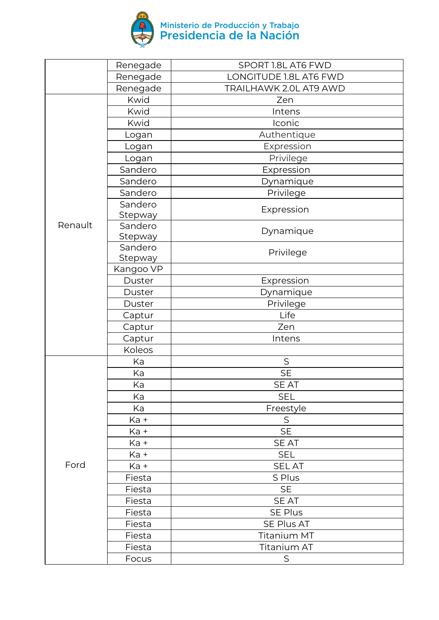

|         | Renegade       | SPORT 1.8L AT6 FWD     |
|---------|----------------|------------------------|
|         | Renegade       | LONGITUDE 1.8L AT6 FWD |
|         | Renegade       | TRAILHAWK 2.0L AT9 AWD |
|         | Kwid           | Zen                    |
|         | Kwid           | Intens                 |
|         | <b>Kwid</b>    | Iconic                 |
|         | Logan          | Authentique            |
|         | Logan          | Expression             |
|         | Logan          | Privilege              |
|         | Sandero        | Expression             |
|         | Sandero        | Dynamique              |
|         | Sandero        | Privilege              |
|         | Sandero        |                        |
|         | Stepway        | Expression             |
| Renault | Sandero        | Dynamique              |
|         | Stepway        |                        |
|         | Sandero        | Privilege              |
|         | <b>Stepway</b> |                        |
|         | Kangoo VP      |                        |
|         | Duster         | Expression             |
|         | Duster         | Dynamique              |
|         | Duster         | Privilege              |
|         | Captur         | Life                   |
|         | Captur         | Zen                    |
|         | Captur         | Intens                 |
|         | Koleos         |                        |
|         | Ka             | $\mathsf S$            |
|         | Ka             | <b>SE</b>              |
|         | Ka             | <b>SEAT</b>            |
|         | Ka             | <b>SEL</b>             |
|         | Ka             | Freestyle              |
|         | Ka +           | $\mathsf S$            |
|         | Ka +           | <b>SE</b>              |
|         | Ka +           | <b>SEAT</b>            |
|         | Ka +           | <b>SEL</b>             |
| Ford    | Ka +           | <b>SELAT</b>           |
|         | Fiesta         | S Plus                 |
|         | Fiesta         | <b>SE</b>              |
|         | Fiesta         | SE AT                  |
|         | Fiesta         | SE Plus                |
|         | Fiesta         | SE Plus AT             |
|         | Fiesta         | Titanium MT            |
|         | Fiesta         | Titanium AT            |
|         | Focus          | S                      |